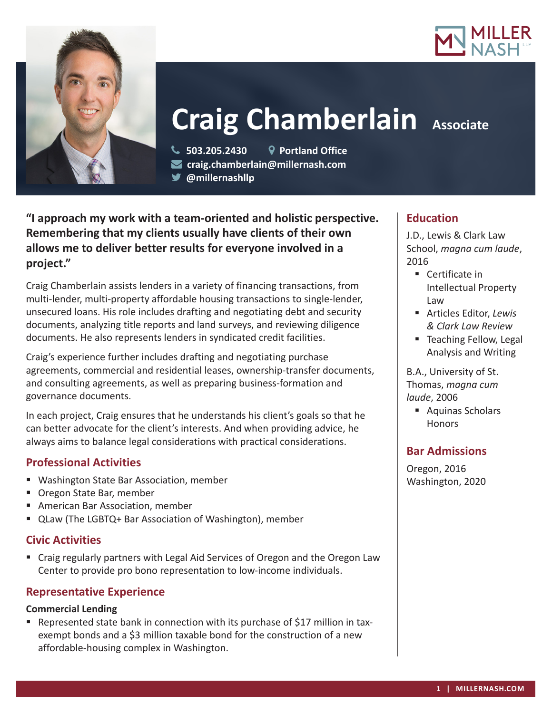



# **Craig Chamberlain Associate**

 **503.205.2430 Portland Office craig.chamberlain@millernash.com** 

**@millernashllp** 

**"I approach my work with a team-oriented and holistic perspective. Remembering that my clients usually have clients of their own allows me to deliver better results for everyone involved in a project."**

Craig Chamberlain assists lenders in a variety of financing transactions, from multi-lender, multi-property affordable housing transactions to single-lender, unsecured loans. His role includes drafting and negotiating debt and security documents, analyzing title reports and land surveys, and reviewing diligence documents. He also represents lenders in syndicated credit facilities.

Craig's experience further includes drafting and negotiating purchase agreements, commercial and residential leases, ownership-transfer documents, and consulting agreements, as well as preparing business-formation and governance documents.

In each project, Craig ensures that he understands his client's goals so that he can better advocate for the client's interests. And when providing advice, he always aims to balance legal considerations with practical considerations.

# **Professional Activities**

- Washington State Bar Association, member
- Oregon State Bar, member
- American Bar Association, member
- QLaw (The LGBTQ+ Bar Association of Washington), member

## **Civic Activities**

 Craig regularly partners with Legal Aid Services of Oregon and the Oregon Law Center to provide pro bono representation to low-income individuals.

## **Representative Experience**

#### **Commercial Lending**

**•** Represented state bank in connection with its purchase of \$17 million in taxexempt bonds and a \$3 million taxable bond for the construction of a new affordable-housing complex in Washington.

## **Education**

J.D., Lewis & Clark Law School, *magna cum laude*, 2016

- Certificate in Intellectual Property Law
- Articles Editor, *Lewis & Clark Law Review*
- Teaching Fellow, Legal Analysis and Writing

B.A., University of St. Thomas, *magna cum laude*, 2006

■ Aquinas Scholars **Honors** 

# **Bar Admissions**

Oregon, 2016 Washington, 2020